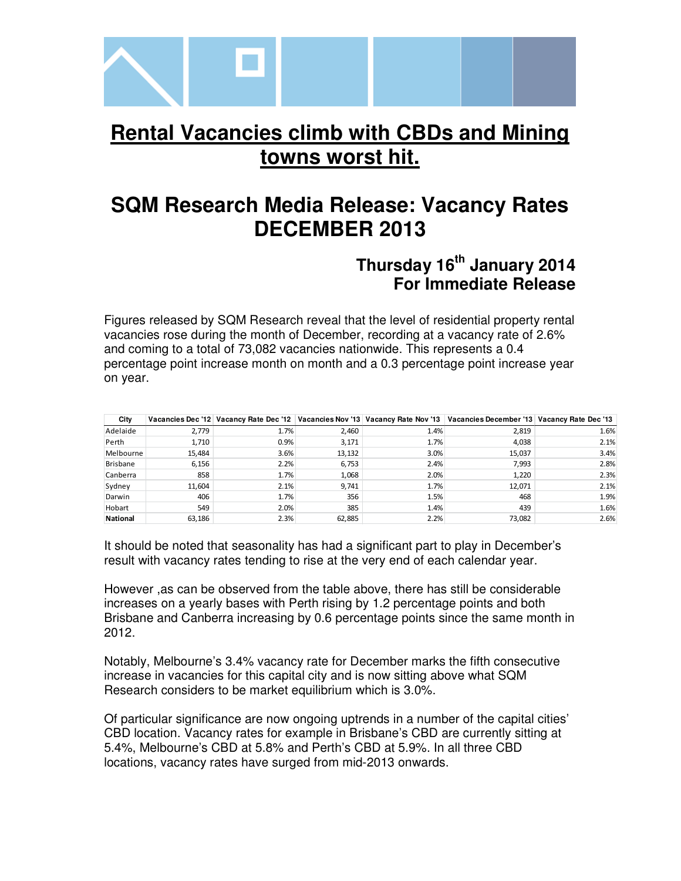

# **Rental Vacancies climb with CBDs and Mining towns worst hit.**

# **SQM Research Media Release: Vacancy Rates DECEMBER 2013**

# **Thursday 16th January 2014 For Immediate Release**

Figures released by SQM Research reveal that the level of residential property rental vacancies rose during the month of December, recording at a vacancy rate of 2.6% and coming to a total of 73,082 vacancies nationwide. This represents a 0.4 percentage point increase month on month and a 0.3 percentage point increase year on year.

| City            |        |      |        |      | Vacancies Dec '12   Vacancy Rate Dec '12   Vacancies Nov '13   Vacancy Rate Nov '13   Vacancies December '13   Vacancy Rate Dec '13 |      |
|-----------------|--------|------|--------|------|-------------------------------------------------------------------------------------------------------------------------------------|------|
| Adelaide        | 2,779  | 1.7% | 2.460  | 1.4% | 2,819                                                                                                                               | 1.6% |
| Perth           | 1,710  | 0.9% | 3,171  | 1.7% | 4,038                                                                                                                               | 2.1% |
| Melbourne       | 15.484 | 3.6% | 13,132 | 3.0% | 15,037                                                                                                                              | 3.4% |
| <b>Brisbane</b> | 6,156  | 2.2% | 6,753  | 2.4% | 7,993                                                                                                                               | 2.8% |
| Canberra        | 858    | 1.7% | 1,068  | 2.0% | 1,220                                                                                                                               | 2.3% |
| Sydney          | 11,604 | 2.1% | 9,741  | 1.7% | 12,071                                                                                                                              | 2.1% |
| Darwin          | 406    | 1.7% | 356    | 1.5% | 468                                                                                                                                 | 1.9% |
| Hobart          | 549    | 2.0% | 385    | 1.4% | 439                                                                                                                                 | 1.6% |
| <b>National</b> | 63,186 | 2.3% | 62,885 | 2.2% | 73,082                                                                                                                              | 2.6% |

It should be noted that seasonality has had a significant part to play in December's result with vacancy rates tending to rise at the very end of each calendar year.

However ,as can be observed from the table above, there has still be considerable increases on a yearly bases with Perth rising by 1.2 percentage points and both Brisbane and Canberra increasing by 0.6 percentage points since the same month in 2012.

Notably, Melbourne's 3.4% vacancy rate for December marks the fifth consecutive increase in vacancies for this capital city and is now sitting above what SQM Research considers to be market equilibrium which is 3.0%.

Of particular significance are now ongoing uptrends in a number of the capital cities' CBD location. Vacancy rates for example in Brisbane's CBD are currently sitting at 5.4%, Melbourne's CBD at 5.8% and Perth's CBD at 5.9%. In all three CBD locations, vacancy rates have surged from mid-2013 onwards.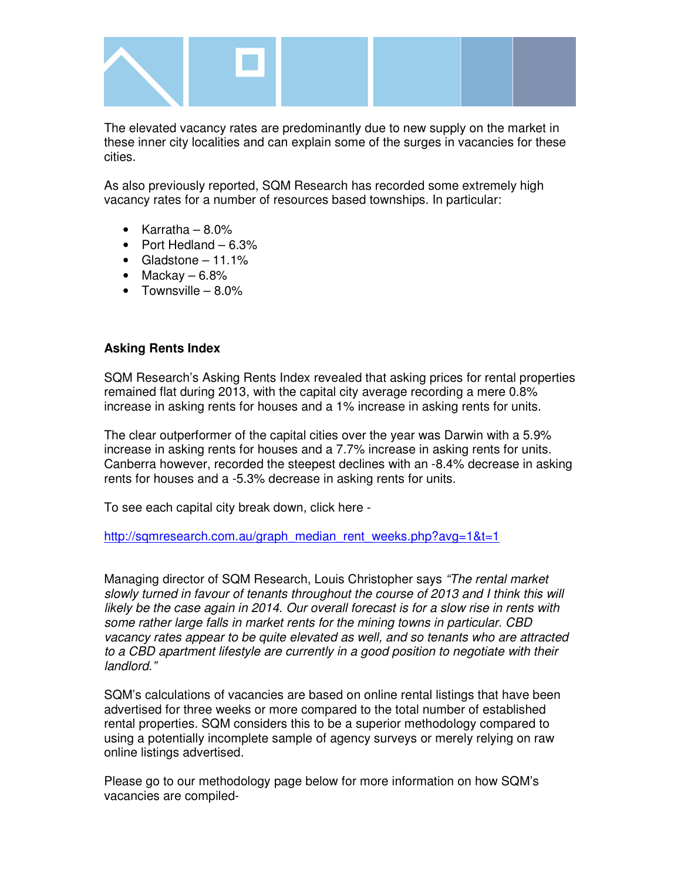

The elevated vacancy rates are predominantly due to new supply on the market in these inner city localities and can explain some of the surges in vacancies for these cities.

As also previously reported, SQM Research has recorded some extremely high vacancy rates for a number of resources based townships. In particular:

- Karratha  $8.0\%$
- Port Hedland 6.3%
- Gladstone  $-11.1\%$
- Mackay  $-6.8\%$
- Townsville  $-8.0\%$

#### **Asking Rents Index**

SQM Research's Asking Rents Index revealed that asking prices for rental properties remained flat during 2013, with the capital city average recording a mere 0.8% increase in asking rents for houses and a 1% increase in asking rents for units.

The clear outperformer of the capital cities over the year was Darwin with a 5.9% increase in asking rents for houses and a 7.7% increase in asking rents for units. Canberra however, recorded the steepest declines with an -8.4% decrease in asking rents for houses and a -5.3% decrease in asking rents for units.

To see each capital city break down, click here -

http://sqmresearch.com.au/graph\_median\_rent\_weeks.php?avg=1&t=1

Managing director of SQM Research, Louis Christopher says "The rental market slowly turned in favour of tenants throughout the course of 2013 and I think this will likely be the case again in 2014. Our overall forecast is for a slow rise in rents with some rather large falls in market rents for the mining towns in particular. CBD vacancy rates appear to be quite elevated as well, and so tenants who are attracted to a CBD apartment lifestyle are currently in a good position to negotiate with their landlord."

SQM's calculations of vacancies are based on online rental listings that have been advertised for three weeks or more compared to the total number of established rental properties. SQM considers this to be a superior methodology compared to using a potentially incomplete sample of agency surveys or merely relying on raw online listings advertised.

Please go to our methodology page below for more information on how SQM's vacancies are compiled-